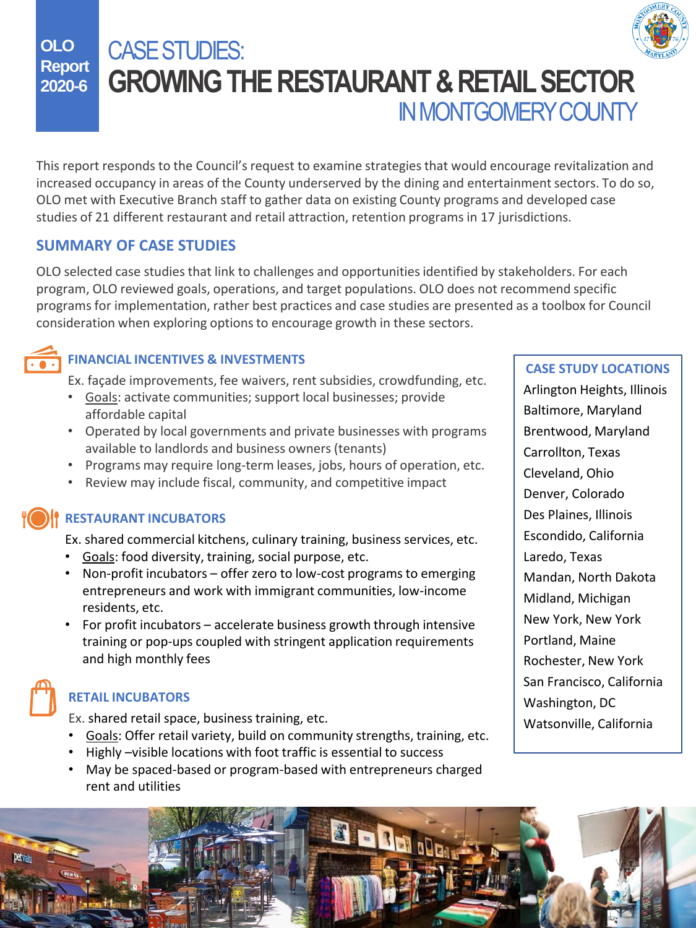

**OLO Report 2020-6** CASE STUDIES: **GROWING THE RESTAURANT & RETAIL SECTOR**  IN MONTGOMERY COUNTY

This report responds to the Council's request to examine strategies that would encourage revitalization and increased occupancy in areas of the County underserved by the dining and entertainment sectors. To do so, OLO met with Executive Branch staff to gather data on existing County programs and developed case studies of 21 different restaurant and retail attraction, retention programs in 17 jurisdictions.

## **SUMMARY OF CASE STUDIES**

OLO selected case studies that link to challenges and opportunities identified by stakeholders. For each program, OLO reviewed goals, operations, and target populations. OLO does not recommend specific programs for implementation, rather best practices and case studies are presented as a toolbox for Council consideration when exploring options to encourage growth in these sectors.



## **FINANCIAL INCENTIVES & INVESTMENTS**

Ex. façade improvements, fee waivers, rent subsidies, crowdfunding, etc.

- Goals: activate communities; support local businesses; provide affordable capital
- Operated by local governments and private businesses with programs available to landlords and business owners (tenants)
- Programs may require long-term leases, jobs, hours of operation, etc.
- Review may include fiscal, community, and competitive impact

### **RESTAURANT INCUBATORS**

Ex. shared commercial kitchens, culinary training, business services, etc.

- Goals: food diversity, training, social purpose, etc.
- Non-profit incubators offer zero to low-cost programs to emerging entrepreneurs and work with immigrant communities, low-income residents, etc.
- For profit incubators accelerate business growth through intensive training or pop-ups coupled with stringent application requirements and high monthly fees

## **RETAIL INCUBATORS**

Ex. shared retail space, business training, etc.

- Goals: Offer retail variety, build on community strengths, training, etc.
- Highly –visible locations with foot traffic is essential to success
- May be spaced-based or program-based with entrepreneurs charged rent and utilities

#### **CASE STUDY LOCATIONS**

Arlington Heights, Illinois Baltimore, Maryland Brentwood, Maryland Carrollton, Texas Cleveland, Ohio Denver, Colorado Des Plaines, Illinois Escondido, California Laredo, Texas Mandan, North Dakota Midland, Michigan New York, New York Portland, Maine Rochester, New York San Francisco, California Washington, DC Watsonville, California